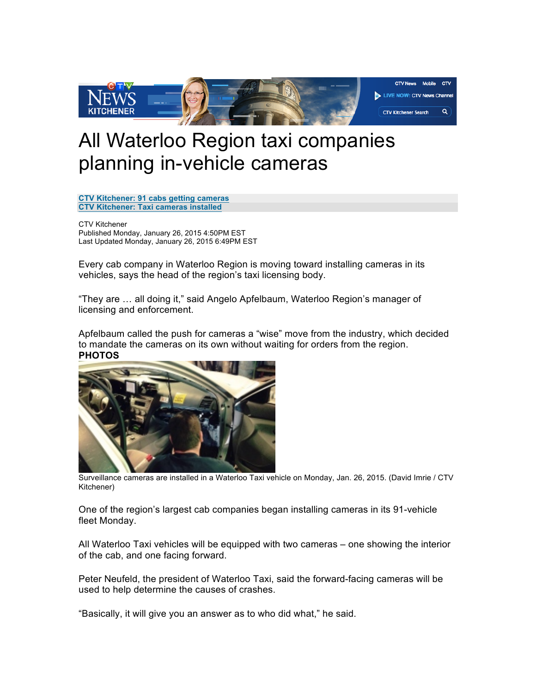

## All Waterloo Region taxi companies planning in-vehicle cameras

**CTV Kitchener: 91 cabs getting cameras CTV Kitchener: Taxi cameras installed**

CTV Kitchener Published Monday, January 26, 2015 4:50PM EST Last Updated Monday, January 26, 2015 6:49PM EST

Every cab company in Waterloo Region is moving toward installing cameras in its vehicles, says the head of the region's taxi licensing body.

"They are … all doing it," said Angelo Apfelbaum, Waterloo Region's manager of licensing and enforcement.

Apfelbaum called the push for cameras a "wise" move from the industry, which decided to mandate the cameras on its own without waiting for orders from the region. **PHOTOS**



Surveillance cameras are installed in a Waterloo Taxi vehicle on Monday, Jan. 26, 2015. (David Imrie / CTV Kitchener)

One of the region's largest cab companies began installing cameras in its 91-vehicle fleet Monday.

All Waterloo Taxi vehicles will be equipped with two cameras – one showing the interior of the cab, and one facing forward.

Peter Neufeld, the president of Waterloo Taxi, said the forward-facing cameras will be used to help determine the causes of crashes.

"Basically, it will give you an answer as to who did what," he said.